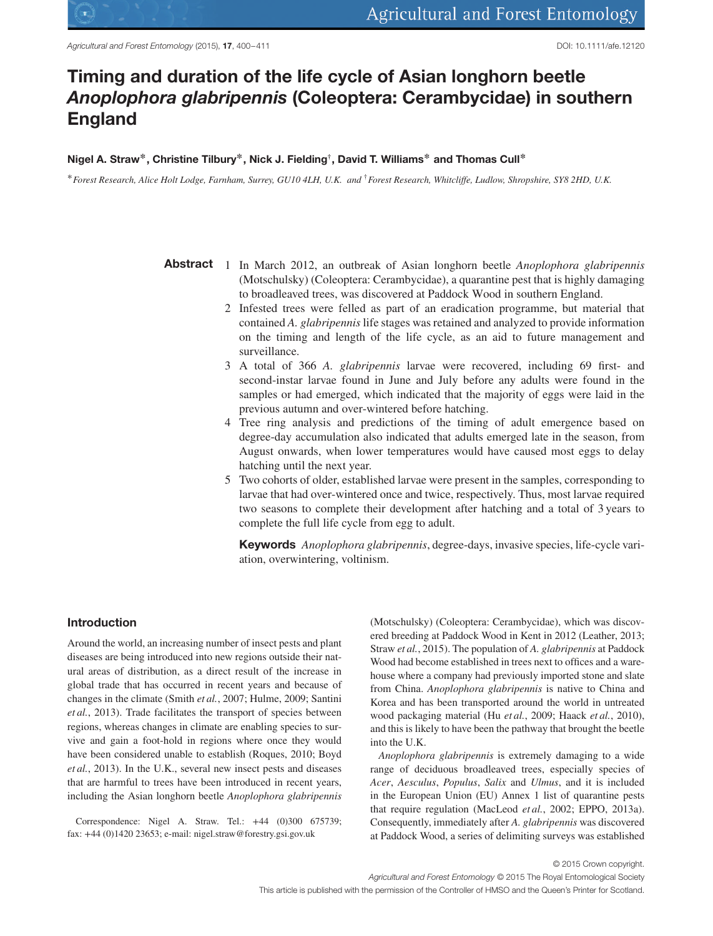

# **Timing and duration of the life cycle of Asian longhorn beetle** *Anoplophora glabripennis* **(Coleoptera: Cerambycidae) in southern England**

#### **Nigel A. Straw∗, Christine Tilbury∗, Nick J. Fielding†, David T. Williams∗ and Thomas Cull∗**

∗*Forest Research, Alice Holt Lodge, Farnham, Surrey, GU10 4LH, U.K. and* †*Forest Research, Whitcliffe, Ludlow, Shropshire, SY8 2HD, U.K.*

- **Abstract** 1 In March 2012, an outbreak of Asian longhorn beetle *Anoplophora glabripennis* (Motschulsky) (Coleoptera: Cerambycidae), a quarantine pest that is highly damaging to broadleaved trees, was discovered at Paddock Wood in southern England.
	- 2 Infested trees were felled as part of an eradication programme, but material that contained *A. glabripennis*life stages was retained and analyzed to provide information on the timing and length of the life cycle, as an aid to future management and surveillance.
	- 3 A total of 366 *A. glabripennis* larvae were recovered, including 69 first- and second-instar larvae found in June and July before any adults were found in the samples or had emerged, which indicated that the majority of eggs were laid in the previous autumn and over-wintered before hatching.
	- 4 Tree ring analysis and predictions of the timing of adult emergence based on degree-day accumulation also indicated that adults emerged late in the season, from August onwards, when lower temperatures would have caused most eggs to delay hatching until the next year.
	- 5 Two cohorts of older, established larvae were present in the samples, corresponding to larvae that had over-wintered once and twice, respectively. Thus, most larvae required two seasons to complete their development after hatching and a total of 3 years to complete the full life cycle from egg to adult.

**Keywords** *Anoplophora glabripennis*, degree-days, invasive species, life-cycle variation, overwintering, voltinism.

## **Introduction**

Around the world, an increasing number of insect pests and plant diseases are being introduced into new regions outside their natural areas of distribution, as a direct result of the increase in global trade that has occurred in recent years and because of changes in the climate (Smith *et al.*, 2007; Hulme, 2009; Santini *et al.*, 2013). Trade facilitates the transport of species between regions, whereas changes in climate are enabling species to survive and gain a foot-hold in regions where once they would have been considered unable to establish (Roques, 2010; Boyd *et al.*, 2013). In the U.K., several new insect pests and diseases that are harmful to trees have been introduced in recent years, including the Asian longhorn beetle *Anoplophora glabripennis*

Correspondence: Nigel A. Straw. Tel.: +44 (0)300 675739; fax: +44 (0)1420 23653; e-mail: nigel.straw@forestry.gsi.gov.uk

(Motschulsky) (Coleoptera: Cerambycidae), which was discovered breeding at Paddock Wood in Kent in 2012 (Leather, 2013; Straw *et al.*, 2015). The population of *A. glabripennis* at Paddock Wood had become established in trees next to offices and a warehouse where a company had previously imported stone and slate from China. *Anoplophora glabripennis* is native to China and Korea and has been transported around the world in untreated wood packaging material (Hu *et al.*, 2009; Haack *et al.*, 2010), and this is likely to have been the pathway that brought the beetle into the U.K.

*Anoplophora glabripennis* is extremely damaging to a wide range of deciduous broadleaved trees, especially species of *Acer*, *Aesculus*, *Populus*, *Salix* and *Ulmus*, and it is included in the European Union (EU) Annex 1 list of quarantine pests that require regulation (MacLeod *et al.*, 2002; EPPO, 2013a). Consequently, immediately after *A. glabripennis* was discovered at Paddock Wood, a series of delimiting surveys was established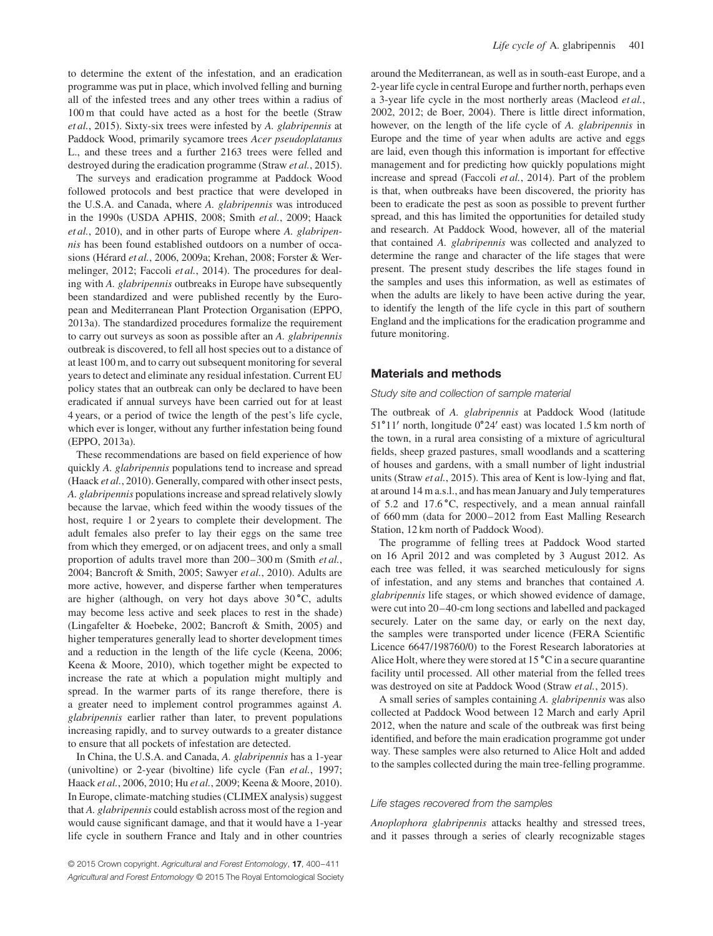to determine the extent of the infestation, and an eradication programme was put in place, which involved felling and burning all of the infested trees and any other trees within a radius of 100 m that could have acted as a host for the beetle (Straw *et al.*, 2015). Sixty-six trees were infested by *A. glabripennis* at Paddock Wood, primarily sycamore trees *Acer pseudoplatanus* L., and these trees and a further 2163 trees were felled and destroyed during the eradication programme (Straw *et al.*, 2015).

The surveys and eradication programme at Paddock Wood followed protocols and best practice that were developed in the U.S.A. and Canada, where *A. glabripennis* was introduced in the 1990s (USDA APHIS, 2008; Smith *et al.*, 2009; Haack *et al.*, 2010), and in other parts of Europe where *A. glabripennis* has been found established outdoors on a number of occasions (Hérard *et al.*, 2006, 2009a; Krehan, 2008; Forster & Wermelinger, 2012; Faccoli *et al.*, 2014). The procedures for dealing with *A. glabripennis* outbreaks in Europe have subsequently been standardized and were published recently by the European and Mediterranean Plant Protection Organisation (EPPO, 2013a). The standardized procedures formalize the requirement to carry out surveys as soon as possible after an *A. glabripennis* outbreak is discovered, to fell all host species out to a distance of at least 100 m, and to carry out subsequent monitoring for several years to detect and eliminate any residual infestation. Current EU policy states that an outbreak can only be declared to have been eradicated if annual surveys have been carried out for at least 4 years, or a period of twice the length of the pest's life cycle, which ever is longer, without any further infestation being found (EPPO, 2013a).

These recommendations are based on field experience of how quickly *A. glabripennis* populations tend to increase and spread (Haack *et al.*, 2010). Generally, compared with other insect pests, *A. glabripennis* populations increase and spread relatively slowly because the larvae, which feed within the woody tissues of the host, require 1 or 2 years to complete their development. The adult females also prefer to lay their eggs on the same tree from which they emerged, or on adjacent trees, and only a small proportion of adults travel more than 200–300 m (Smith *et al.*, 2004; Bancroft & Smith, 2005; Sawyer *et al.*, 2010). Adults are more active, however, and disperse farther when temperatures are higher (although, on very hot days above 30 ∘C, adults may become less active and seek places to rest in the shade) (Lingafelter & Hoebeke, 2002; Bancroft & Smith, 2005) and higher temperatures generally lead to shorter development times and a reduction in the length of the life cycle (Keena, 2006; Keena & Moore, 2010), which together might be expected to increase the rate at which a population might multiply and spread. In the warmer parts of its range therefore, there is a greater need to implement control programmes against *A. glabripennis* earlier rather than later, to prevent populations increasing rapidly, and to survey outwards to a greater distance to ensure that all pockets of infestation are detected.

In China, the U.S.A. and Canada, *A. glabripennis* has a 1-year (univoltine) or 2-year (bivoltine) life cycle (Fan *et al.*, 1997; Haack *et al.*, 2006, 2010; Hu *et al.*, 2009; Keena & Moore, 2010). In Europe, climate-matching studies (CLIMEX analysis) suggest that *A. glabripennis* could establish across most of the region and would cause significant damage, and that it would have a 1-year life cycle in southern France and Italy and in other countries

around the Mediterranean, as well as in south-east Europe, and a 2-year life cycle in central Europe and further north, perhaps even a 3-year life cycle in the most northerly areas (Macleod *et al.*, 2002, 2012; de Boer, 2004). There is little direct information, however, on the length of the life cycle of *A. glabripennis* in Europe and the time of year when adults are active and eggs are laid, even though this information is important for effective management and for predicting how quickly populations might increase and spread (Faccoli *et al.*, 2014). Part of the problem is that, when outbreaks have been discovered, the priority has been to eradicate the pest as soon as possible to prevent further spread, and this has limited the opportunities for detailed study and research. At Paddock Wood, however, all of the material that contained *A. glabripennis* was collected and analyzed to determine the range and character of the life stages that were present. The present study describes the life stages found in the samples and uses this information, as well as estimates of when the adults are likely to have been active during the year, to identify the length of the life cycle in this part of southern England and the implications for the eradication programme and future monitoring.

#### **Materials and methods**

## Study site and collection of sample material

The outbreak of *A. glabripennis* at Paddock Wood (latitude 51∘11′ north, longitude 0∘24′ east) was located 1.5 km north of the town, in a rural area consisting of a mixture of agricultural fields, sheep grazed pastures, small woodlands and a scattering of houses and gardens, with a small number of light industrial units (Straw *et al.*, 2015). This area of Kent is low-lying and flat, at around 14 m a.s.l., and has mean January and July temperatures of 5.2 and 17.6 ∘C, respectively, and a mean annual rainfall of 660 mm (data for 2000–2012 from East Malling Research Station, 12 km north of Paddock Wood).

The programme of felling trees at Paddock Wood started on 16 April 2012 and was completed by 3 August 2012. As each tree was felled, it was searched meticulously for signs of infestation, and any stems and branches that contained *A. glabripennis* life stages, or which showed evidence of damage, were cut into 20–40-cm long sections and labelled and packaged securely. Later on the same day, or early on the next day, the samples were transported under licence (FERA Scientific Licence 6647/198760/0) to the Forest Research laboratories at Alice Holt, where they were stored at 15 ∘C in a secure quarantine facility until processed. All other material from the felled trees was destroyed on site at Paddock Wood (Straw *et al.*, 2015).

A small series of samples containing *A. glabripennis* was also collected at Paddock Wood between 12 March and early April 2012, when the nature and scale of the outbreak was first being identified, and before the main eradication programme got under way. These samples were also returned to Alice Holt and added to the samples collected during the main tree-felling programme.

#### Life stages recovered from the samples

*Anoplophora glabripennis* attacks healthy and stressed trees, and it passes through a series of clearly recognizable stages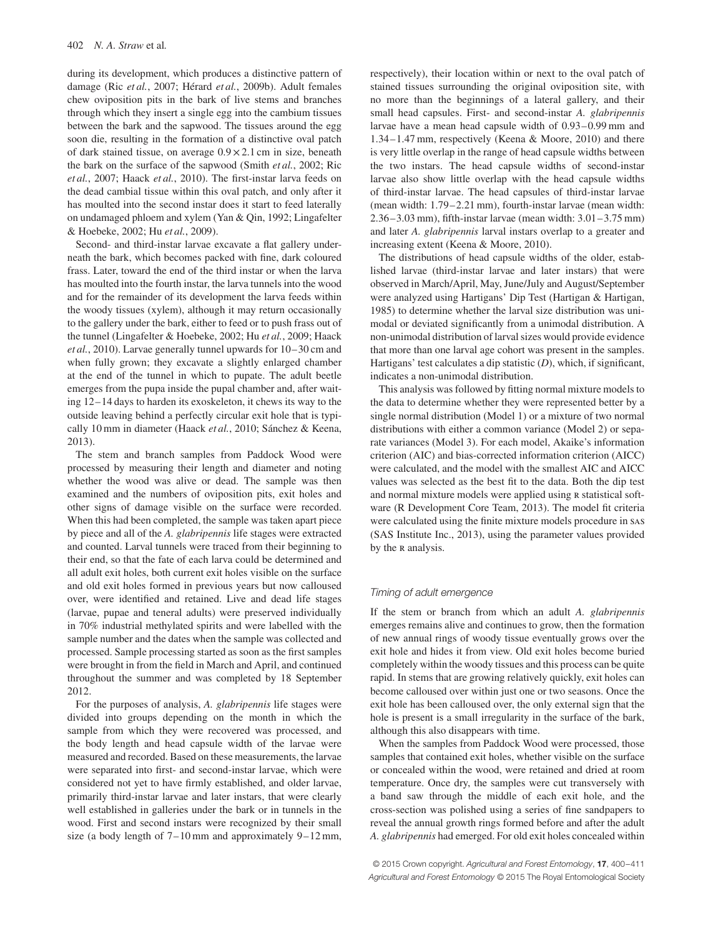during its development, which produces a distinctive pattern of damage (Ric *et al.*, 2007; Hérard *et al.*, 2009b). Adult females chew oviposition pits in the bark of live stems and branches through which they insert a single egg into the cambium tissues between the bark and the sapwood. The tissues around the egg soon die, resulting in the formation of a distinctive oval patch of dark stained tissue, on average  $0.9 \times 2.1$  cm in size, beneath the bark on the surface of the sapwood (Smith *et al.*, 2002; Ric *et al.*, 2007; Haack *et al.*, 2010). The first-instar larva feeds on the dead cambial tissue within this oval patch, and only after it has moulted into the second instar does it start to feed laterally on undamaged phloem and xylem (Yan & Qin, 1992; Lingafelter & Hoebeke, 2002; Hu *et al.*, 2009).

Second- and third-instar larvae excavate a flat gallery underneath the bark, which becomes packed with fine, dark coloured frass. Later, toward the end of the third instar or when the larva has moulted into the fourth instar, the larva tunnels into the wood and for the remainder of its development the larva feeds within the woody tissues (xylem), although it may return occasionally to the gallery under the bark, either to feed or to push frass out of the tunnel (Lingafelter & Hoebeke, 2002; Hu *et al.*, 2009; Haack *et al.*, 2010). Larvae generally tunnel upwards for 10–30 cm and when fully grown; they excavate a slightly enlarged chamber at the end of the tunnel in which to pupate. The adult beetle emerges from the pupa inside the pupal chamber and, after waiting 12–14 days to harden its exoskeleton, it chews its way to the outside leaving behind a perfectly circular exit hole that is typically 10 mm in diameter (Haack *et al.*, 2010; Sánchez & Keena, 2013).

The stem and branch samples from Paddock Wood were processed by measuring their length and diameter and noting whether the wood was alive or dead. The sample was then examined and the numbers of oviposition pits, exit holes and other signs of damage visible on the surface were recorded. When this had been completed, the sample was taken apart piece by piece and all of the *A. glabripennis* life stages were extracted and counted. Larval tunnels were traced from their beginning to their end, so that the fate of each larva could be determined and all adult exit holes, both current exit holes visible on the surface and old exit holes formed in previous years but now calloused over, were identified and retained. Live and dead life stages (larvae, pupae and teneral adults) were preserved individually in 70% industrial methylated spirits and were labelled with the sample number and the dates when the sample was collected and processed. Sample processing started as soon as the first samples were brought in from the field in March and April, and continued throughout the summer and was completed by 18 September 2012.

For the purposes of analysis, *A. glabripennis* life stages were divided into groups depending on the month in which the sample from which they were recovered was processed, and the body length and head capsule width of the larvae were measured and recorded. Based on these measurements, the larvae were separated into first- and second-instar larvae, which were considered not yet to have firmly established, and older larvae, primarily third-instar larvae and later instars, that were clearly well established in galleries under the bark or in tunnels in the wood. First and second instars were recognized by their small size (a body length of  $7-10$  mm and approximately  $9-12$  mm,

respectively), their location within or next to the oval patch of stained tissues surrounding the original oviposition site, with no more than the beginnings of a lateral gallery, and their small head capsules. First- and second-instar *A. glabripennis* larvae have a mean head capsule width of 0.93–0.99 mm and 1.34–1.47 mm, respectively (Keena & Moore, 2010) and there is very little overlap in the range of head capsule widths between the two instars. The head capsule widths of second-instar larvae also show little overlap with the head capsule widths of third-instar larvae. The head capsules of third-instar larvae (mean width: 1.79–2.21 mm), fourth-instar larvae (mean width: 2.36–3.03 mm), fifth-instar larvae (mean width: 3.01–3.75 mm) and later *A. glabripennis* larval instars overlap to a greater and increasing extent (Keena & Moore, 2010).

The distributions of head capsule widths of the older, established larvae (third-instar larvae and later instars) that were observed in March/April, May, June/July and August/September were analyzed using Hartigans' Dip Test (Hartigan & Hartigan, 1985) to determine whether the larval size distribution was unimodal or deviated significantly from a unimodal distribution. A non-unimodal distribution of larval sizes would provide evidence that more than one larval age cohort was present in the samples. Hartigans' test calculates a dip statistic (*D*), which, if significant, indicates a non-unimodal distribution.

This analysis was followed by fitting normal mixture models to the data to determine whether they were represented better by a single normal distribution (Model 1) or a mixture of two normal distributions with either a common variance (Model 2) or separate variances (Model 3). For each model, Akaike's information criterion (AIC) and bias-corrected information criterion (AICC) were calculated, and the model with the smallest AIC and AICC values was selected as the best fit to the data. Both the dip test and normal mixture models were applied using R statistical software (R Development Core Team, 2013). The model fit criteria were calculated using the finite mixture models procedure in sas (SAS Institute Inc., 2013), using the parameter values provided by the R analysis.

## Timing of adult emergence

If the stem or branch from which an adult *A. glabripennis* emerges remains alive and continues to grow, then the formation of new annual rings of woody tissue eventually grows over the exit hole and hides it from view. Old exit holes become buried completely within the woody tissues and this process can be quite rapid. In stems that are growing relatively quickly, exit holes can become calloused over within just one or two seasons. Once the exit hole has been calloused over, the only external sign that the hole is present is a small irregularity in the surface of the bark, although this also disappears with time.

When the samples from Paddock Wood were processed, those samples that contained exit holes, whether visible on the surface or concealed within the wood, were retained and dried at room temperature. Once dry, the samples were cut transversely with a band saw through the middle of each exit hole, and the cross-section was polished using a series of fine sandpapers to reveal the annual growth rings formed before and after the adult *A. glabripennis* had emerged. For old exit holes concealed within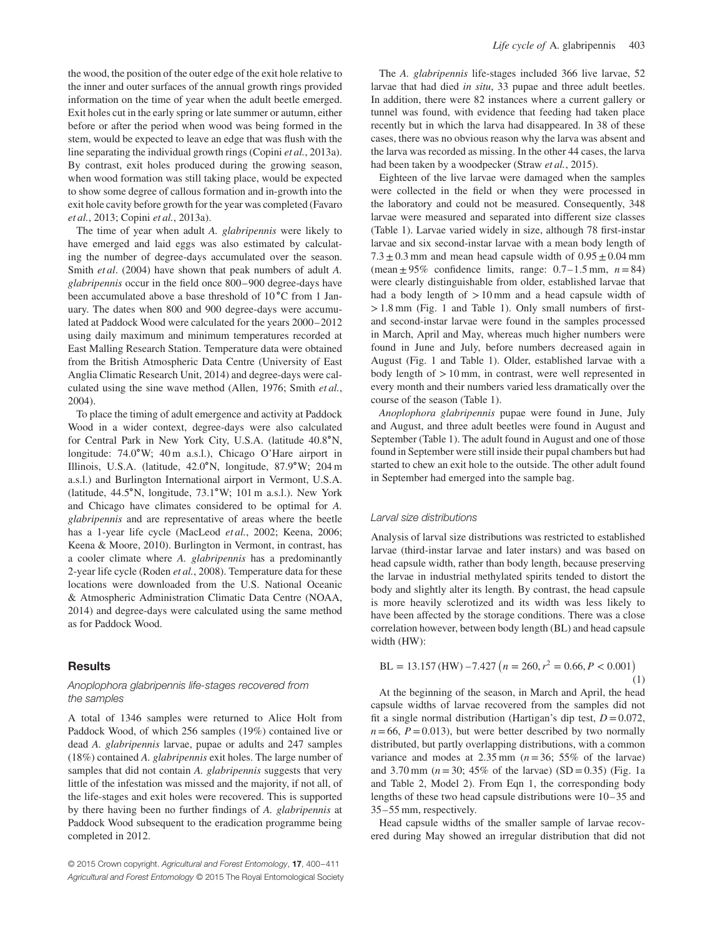the wood, the position of the outer edge of the exit hole relative to the inner and outer surfaces of the annual growth rings provided information on the time of year when the adult beetle emerged. Exit holes cut in the early spring or late summer or autumn, either before or after the period when wood was being formed in the stem, would be expected to leave an edge that was flush with the line separating the individual growth rings (Copini *et al.*, 2013a). By contrast, exit holes produced during the growing season, when wood formation was still taking place, would be expected to show some degree of callous formation and in-growth into the exit hole cavity before growth for the year was completed (Favaro *et al.*, 2013; Copini *et al.*, 2013a).

The time of year when adult *A. glabripennis* were likely to have emerged and laid eggs was also estimated by calculating the number of degree-days accumulated over the season. Smith *et al*. (2004) have shown that peak numbers of adult *A. glabripennis* occur in the field once 800–900 degree-days have been accumulated above a base threshold of 10 ∘C from 1 January. The dates when 800 and 900 degree-days were accumulated at Paddock Wood were calculated for the years 2000–2012 using daily maximum and minimum temperatures recorded at East Malling Research Station. Temperature data were obtained from the British Atmospheric Data Centre (University of East Anglia Climatic Research Unit, 2014) and degree-days were calculated using the sine wave method (Allen, 1976; Smith *et al.*, 2004).

To place the timing of adult emergence and activity at Paddock Wood in a wider context, degree-days were also calculated for Central Park in New York City, U.S.A. (latitude 40.8∘N, longitude: 74.0∘W; 40 m a.s.l.), Chicago O'Hare airport in Illinois, U.S.A. (latitude, 42.0∘N, longitude, 87.9∘W; 204 m a.s.l.) and Burlington International airport in Vermont, U.S.A. (latitude, 44.5∘N, longitude, 73.1∘W; 101 m a.s.l.). New York and Chicago have climates considered to be optimal for *A. glabripennis* and are representative of areas where the beetle has a 1-year life cycle (MacLeod *et al.*, 2002; Keena, 2006; Keena & Moore, 2010). Burlington in Vermont, in contrast, has a cooler climate where *A. glabripennis* has a predominantly 2-year life cycle (Roden *et al.*, 2008). Temperature data for these locations were downloaded from the U.S. National Oceanic & Atmospheric Administration Climatic Data Centre (NOAA, 2014) and degree-days were calculated using the same method as for Paddock Wood.

### **Results**

#### Anoplophora glabripennis life-stages recovered from the samples

A total of 1346 samples were returned to Alice Holt from Paddock Wood, of which 256 samples (19%) contained live or dead *A. glabripennis* larvae, pupae or adults and 247 samples (18%) contained *A. glabripennis* exit holes. The large number of samples that did not contain *A. glabripennis* suggests that very little of the infestation was missed and the majority, if not all, of the life-stages and exit holes were recovered. This is supported by there having been no further findings of *A. glabripennis* at Paddock Wood subsequent to the eradication programme being completed in 2012.

© 2015 Crown copyright. Agricultural and Forest Entomology, **17**, 400–411 Agricultural and Forest Entomology © 2015 The Royal Entomological Society

The *A. glabripennis* life-stages included 366 live larvae, 52 larvae that had died *in situ*, 33 pupae and three adult beetles. In addition, there were 82 instances where a current gallery or tunnel was found, with evidence that feeding had taken place recently but in which the larva had disappeared. In 38 of these cases, there was no obvious reason why the larva was absent and the larva was recorded as missing. In the other 44 cases, the larva had been taken by a woodpecker (Straw *et al.*, 2015).

Eighteen of the live larvae were damaged when the samples were collected in the field or when they were processed in the laboratory and could not be measured. Consequently, 348 larvae were measured and separated into different size classes (Table 1). Larvae varied widely in size, although 78 first-instar larvae and six second-instar larvae with a mean body length of  $7.3 \pm 0.3$  mm and mean head capsule width of  $0.95 \pm 0.04$  mm (mean  $\pm 95\%$  confidence limits, range:  $0.7-1.5$  mm,  $n=84$ ) were clearly distinguishable from older, established larvae that had a body length of *>*10 mm and a head capsule width of *>*1.8 mm (Fig. 1 and Table 1). Only small numbers of firstand second-instar larvae were found in the samples processed in March, April and May, whereas much higher numbers were found in June and July, before numbers decreased again in August (Fig. 1 and Table 1). Older, established larvae with a body length of *>*10 mm, in contrast, were well represented in every month and their numbers varied less dramatically over the course of the season (Table 1).

*Anoplophora glabripennis* pupae were found in June, July and August, and three adult beetles were found in August and September (Table 1). The adult found in August and one of those found in September were still inside their pupal chambers but had started to chew an exit hole to the outside. The other adult found in September had emerged into the sample bag.

## Larval size distributions

Analysis of larval size distributions was restricted to established larvae (third-instar larvae and later instars) and was based on head capsule width, rather than body length, because preserving the larvae in industrial methylated spirits tended to distort the body and slightly alter its length. By contrast, the head capsule is more heavily sclerotized and its width was less likely to have been affected by the storage conditions. There was a close correlation however, between body length (BL) and head capsule width (HW):

$$
BL = 13.157 \, (HW) - 7.427 \left( n = 260, r^2 = 0.66, P < 0.001 \right) \tag{1}
$$

At the beginning of the season, in March and April, the head capsule widths of larvae recovered from the samples did not fit a single normal distribution (Hartigan's dip test,  $D = 0.072$ ,  $n=66$ ,  $P=0.013$ ), but were better described by two normally distributed, but partly overlapping distributions, with a common variance and modes at  $2.35$  mm ( $n=36$ ;  $55\%$  of the larvae) and 3.70 mm ( $n = 30$ ; 45% of the larvae) (SD = 0.35) (Fig. 1a and Table 2, Model 2). From Eqn 1, the corresponding body lengths of these two head capsule distributions were 10–35 and 35–55 mm, respectively.

Head capsule widths of the smaller sample of larvae recovered during May showed an irregular distribution that did not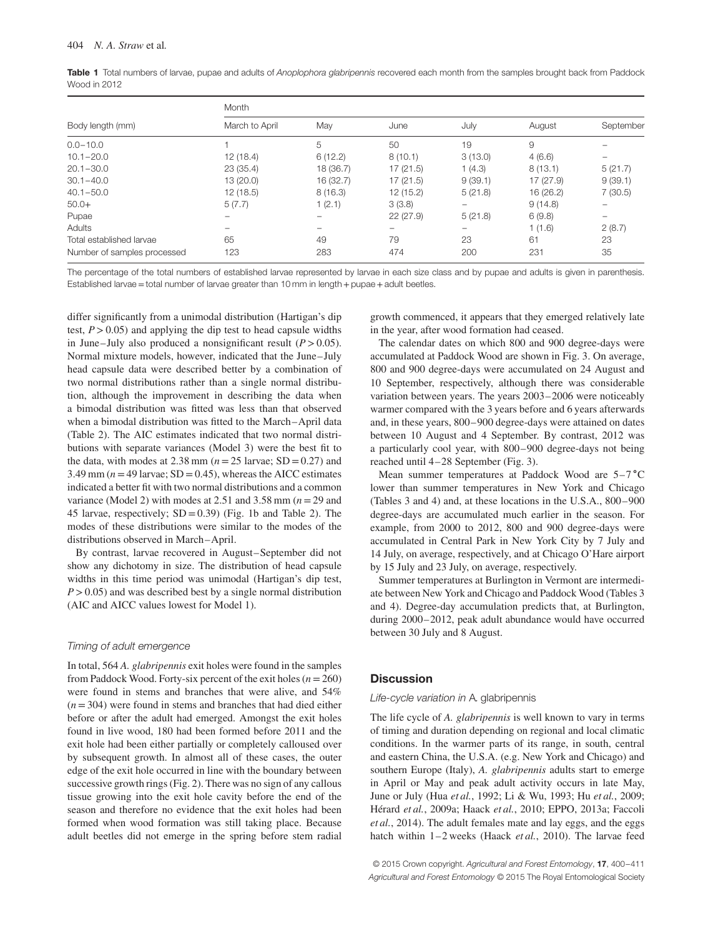|              | Table 1 Total numbers of larvae, pupae and adults of Anoplophora glabripennis recovered each month from the samples brought back from Paddock |  |  |  |  |  |
|--------------|-----------------------------------------------------------------------------------------------------------------------------------------------|--|--|--|--|--|
| Wood in 2012 |                                                                                                                                               |  |  |  |  |  |

|                             | Month          |           |          |         |           |                   |  |
|-----------------------------|----------------|-----------|----------|---------|-----------|-------------------|--|
| Body length (mm)            | March to April | May       | June     | July    | August    | September         |  |
| $0.0 - 10.0$                |                | 5         | 50       | 19      | 9         |                   |  |
| $10.1 - 20.0$               | 12(18.4)       | 6(12.2)   | 8(10.1)  | 3(13.0) | 4(6.6)    | $\qquad \qquad -$ |  |
| $20.1 - 30.0$               | 23 (35.4)      | 18 (36.7) | 17(21.5) | 1(4.3)  | 8(13.1)   | 5(21.7)           |  |
| $30.1 - 40.0$               | 13 (20.0)      | 16 (32.7) | 17(21.5) | 9(39.1) | 17 (27.9) | 9(39.1)           |  |
| $40.1 - 50.0$               | 12(18.5)       | 8(16.3)   | 12(15.2) | 5(21.8) | 16(26.2)  | 7(30.5)           |  |
| $50.0+$                     | 5(7.7)         | (2.1)     | 3(3.8)   | -       | 9(14.8)   | -                 |  |
| Pupae                       |                |           | 22(27.9) | 5(21.8) | 6(9.8)    | $\qquad \qquad -$ |  |
| Adults                      |                |           |          | -       | 1(1.6)    | 2(8.7)            |  |
| Total established larvae    | 65             | 49        | 79       | 23      | 61        | 23                |  |
| Number of samples processed | 123            | 283       | 474      | 200     | 231       | 35                |  |

The percentage of the total numbers of established larvae represented by larvae in each size class and by pupae and adults is given in parenthesis. Established larvae = total number of larvae greater than 10 mm in length + pupae + adult beetles.

differ significantly from a unimodal distribution (Hartigan's dip test, *P>*0.05) and applying the dip test to head capsule widths in June–July also produced a nonsignificant result  $(P > 0.05)$ . Normal mixture models, however, indicated that the June–July head capsule data were described better by a combination of two normal distributions rather than a single normal distribution, although the improvement in describing the data when a bimodal distribution was fitted was less than that observed when a bimodal distribution was fitted to the March–April data (Table 2). The AIC estimates indicated that two normal distributions with separate variances (Model 3) were the best fit to the data, with modes at  $2.38$  mm ( $n = 25$  larvae; SD = 0.27) and 3.49 mm ( $n = 49$  larvae; SD = 0.45), whereas the AICC estimates indicated a better fit with two normal distributions and a common variance (Model 2) with modes at 2.51 and 3.58 mm (*n*=29 and 45 larvae, respectively;  $SD = 0.39$ ) (Fig. 1b and Table 2). The modes of these distributions were similar to the modes of the distributions observed in March–April.

By contrast, larvae recovered in August–September did not show any dichotomy in size. The distribution of head capsule widths in this time period was unimodal (Hartigan's dip test, *P>*0.05) and was described best by a single normal distribution (AIC and AICC values lowest for Model 1).

#### Timing of adult emergence

In total, 564 *A. glabripennis* exit holes were found in the samples from Paddock Wood. Forty-six percent of the exit holes (*n*=260) were found in stems and branches that were alive, and 54%  $(n=304)$  were found in stems and branches that had died either before or after the adult had emerged. Amongst the exit holes found in live wood, 180 had been formed before 2011 and the exit hole had been either partially or completely calloused over by subsequent growth. In almost all of these cases, the outer edge of the exit hole occurred in line with the boundary between successive growth rings (Fig. 2). There was no sign of any callous tissue growing into the exit hole cavity before the end of the season and therefore no evidence that the exit holes had been formed when wood formation was still taking place. Because adult beetles did not emerge in the spring before stem radial

growth commenced, it appears that they emerged relatively late in the year, after wood formation had ceased.

The calendar dates on which 800 and 900 degree-days were accumulated at Paddock Wood are shown in Fig. 3. On average, 800 and 900 degree-days were accumulated on 24 August and 10 September, respectively, although there was considerable variation between years. The years 2003–2006 were noticeably warmer compared with the 3 years before and 6 years afterwards and, in these years, 800–900 degree-days were attained on dates between 10 August and 4 September. By contrast, 2012 was a particularly cool year, with 800–900 degree-days not being reached until 4–28 September (Fig. 3).

Mean summer temperatures at Paddock Wood are 5–7 ∘C lower than summer temperatures in New York and Chicago (Tables 3 and 4) and, at these locations in the U.S.A., 800–900 degree-days are accumulated much earlier in the season. For example, from 2000 to 2012, 800 and 900 degree-days were accumulated in Central Park in New York City by 7 July and 14 July, on average, respectively, and at Chicago O'Hare airport by 15 July and 23 July, on average, respectively.

Summer temperatures at Burlington in Vermont are intermediate between New York and Chicago and Paddock Wood (Tables 3 and 4). Degree-day accumulation predicts that, at Burlington, during 2000–2012, peak adult abundance would have occurred between 30 July and 8 August.

# **Discussion**

#### Life-cycle variation in A. glabripennis

The life cycle of *A. glabripennis* is well known to vary in terms of timing and duration depending on regional and local climatic conditions. In the warmer parts of its range, in south, central and eastern China, the U.S.A. (e.g. New York and Chicago) and southern Europe (Italy), *A. glabripennis* adults start to emerge in April or May and peak adult activity occurs in late May, June or July (Hua *et al.*, 1992; Li & Wu, 1993; Hu *et al.*, 2009; Hérard *et al.*, 2009a; Haack *et al.*, 2010; EPPO, 2013a; Faccoli *et al.*, 2014). The adult females mate and lay eggs, and the eggs hatch within 1–2 weeks (Haack *et al.*, 2010). The larvae feed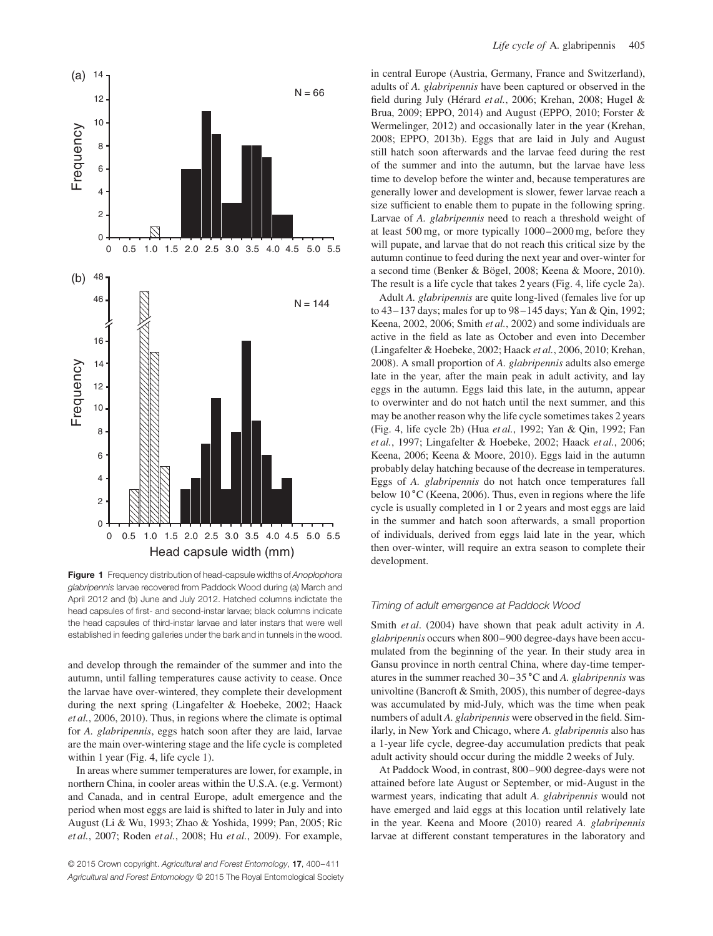

**Figure 1** Frequency distribution of head-capsule widths of Anoplophora glabripennis larvae recovered from Paddock Wood during (a) March and April 2012 and (b) June and July 2012. Hatched columns indictate the head capsules of first- and second-instar larvae; black columns indicate the head capsules of third-instar larvae and later instars that were well established in feeding galleries under the bark and in tunnels in the wood.

and develop through the remainder of the summer and into the autumn, until falling temperatures cause activity to cease. Once the larvae have over-wintered, they complete their development during the next spring (Lingafelter & Hoebeke, 2002; Haack *et al.*, 2006, 2010). Thus, in regions where the climate is optimal for *A. glabripennis*, eggs hatch soon after they are laid, larvae are the main over-wintering stage and the life cycle is completed within 1 year (Fig. 4, life cycle 1).

In areas where summer temperatures are lower, for example, in northern China, in cooler areas within the U.S.A. (e.g. Vermont) and Canada, and in central Europe, adult emergence and the period when most eggs are laid is shifted to later in July and into August (Li & Wu, 1993; Zhao & Yoshida, 1999; Pan, 2005; Ric *et al.*, 2007; Roden *et al.*, 2008; Hu *et al.*, 2009). For example,

© 2015 Crown copyright. Agricultural and Forest Entomology, **17**, 400–411 Agricultural and Forest Entomology © 2015 The Royal Entomological Society in central Europe (Austria, Germany, France and Switzerland), adults of *A. glabripennis* have been captured or observed in the field during July (Hérard *et al.*, 2006; Krehan, 2008; Hugel & Brua, 2009; EPPO, 2014) and August (EPPO, 2010; Forster & Wermelinger, 2012) and occasionally later in the year (Krehan, 2008; EPPO, 2013b). Eggs that are laid in July and August still hatch soon afterwards and the larvae feed during the rest of the summer and into the autumn, but the larvae have less time to develop before the winter and, because temperatures are generally lower and development is slower, fewer larvae reach a size sufficient to enable them to pupate in the following spring. Larvae of *A. glabripennis* need to reach a threshold weight of at least 500 mg, or more typically 1000–2000 mg, before they will pupate, and larvae that do not reach this critical size by the autumn continue to feed during the next year and over-winter for a second time (Benker & Bögel, 2008; Keena & Moore, 2010). The result is a life cycle that takes 2 years (Fig. 4, life cycle 2a).

Adult *A. glabripennis* are quite long-lived (females live for up to 43–137 days; males for up to 98–145 days; Yan & Qin, 1992; Keena, 2002, 2006; Smith *et al.*, 2002) and some individuals are active in the field as late as October and even into December (Lingafelter & Hoebeke, 2002; Haack *et al.*, 2006, 2010; Krehan, 2008). A small proportion of *A. glabripennis* adults also emerge late in the year, after the main peak in adult activity, and lay eggs in the autumn. Eggs laid this late, in the autumn, appear to overwinter and do not hatch until the next summer, and this may be another reason why the life cycle sometimes takes 2 years (Fig. 4, life cycle 2b) (Hua *et al.*, 1992; Yan & Qin, 1992; Fan *et al.*, 1997; Lingafelter & Hoebeke, 2002; Haack *et al.*, 2006; Keena, 2006; Keena & Moore, 2010). Eggs laid in the autumn probably delay hatching because of the decrease in temperatures. Eggs of *A. glabripennis* do not hatch once temperatures fall below 10 ∘C (Keena, 2006). Thus, even in regions where the life cycle is usually completed in 1 or 2 years and most eggs are laid in the summer and hatch soon afterwards, a small proportion of individuals, derived from eggs laid late in the year, which then over-winter, will require an extra season to complete their development.

## Timing of adult emergence at Paddock Wood

Smith *et al*. (2004) have shown that peak adult activity in *A. glabripennis* occurs when 800–900 degree-days have been accumulated from the beginning of the year. In their study area in Gansu province in north central China, where day-time temperatures in the summer reached 30–35 ∘C and *A. glabripennis* was univoltine (Bancroft & Smith, 2005), this number of degree-days was accumulated by mid-July, which was the time when peak numbers of adult *A. glabripennis* were observed in the field. Similarly, in New York and Chicago, where *A. glabripennis* also has a 1-year life cycle, degree-day accumulation predicts that peak adult activity should occur during the middle 2 weeks of July.

At Paddock Wood, in contrast, 800–900 degree-days were not attained before late August or September, or mid-August in the warmest years, indicating that adult *A. glabripennis* would not have emerged and laid eggs at this location until relatively late in the year. Keena and Moore (2010) reared *A. glabripennis* larvae at different constant temperatures in the laboratory and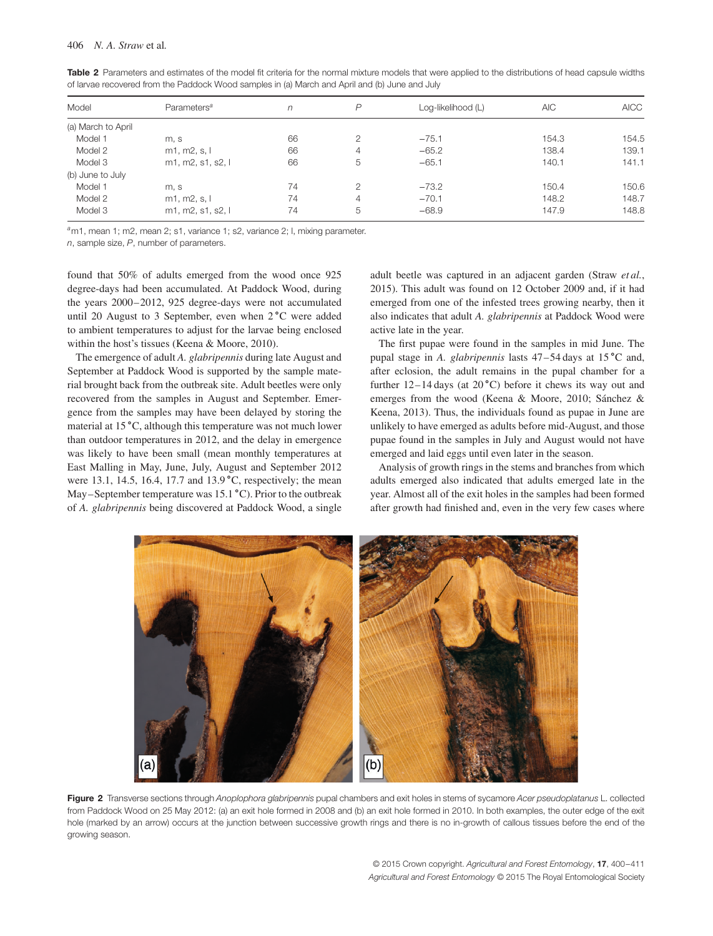| Model              | Parameters <sup>a</sup> | n  | P | Log-likelihood (L) | <b>AIC</b> | <b>AICC</b> |
|--------------------|-------------------------|----|---|--------------------|------------|-------------|
| (a) March to April |                         |    |   |                    |            |             |
| Model 1            | m, s                    | 66 | 2 | $-75.1$            | 154.3      | 154.5       |
| Model 2            | m1, m2, s, l            | 66 | 4 | $-65.2$            | 138.4      | 139.1       |
| Model 3            | m1, m2, s1, s2, l       | 66 | 5 | $-65.1$            | 140.1      | 141.1       |
| (b) June to July   |                         |    |   |                    |            |             |
| Model 1            | m, s                    | 74 | 2 | $-73.2$            | 150.4      | 150.6       |
| Model 2            | m1, m2, s, l            | 74 | 4 | $-70.1$            | 148.2      | 148.7       |
| Model 3            | m1, m2, s1, s2, l       | 74 | 5 | $-68.9$            | 147.9      | 148.8       |

**Table 2** Parameters and estimates of the model fit criteria for the normal mixture models that were applied to the distributions of head capsule widths of larvae recovered from the Paddock Wood samples in (a) March and April and (b) June and July

<sup>a</sup>m1, mean 1; m2, mean 2; s1, variance 1; s2, variance 2; l, mixing parameter.

n, sample size, P, number of parameters.

found that 50% of adults emerged from the wood once 925 degree-days had been accumulated. At Paddock Wood, during the years 2000–2012, 925 degree-days were not accumulated until 20 August to 3 September, even when 2 ∘C were added to ambient temperatures to adjust for the larvae being enclosed within the host's tissues (Keena & Moore, 2010).

The emergence of adult *A. glabripennis* during late August and September at Paddock Wood is supported by the sample material brought back from the outbreak site. Adult beetles were only recovered from the samples in August and September. Emergence from the samples may have been delayed by storing the material at 15 ∘C, although this temperature was not much lower than outdoor temperatures in 2012, and the delay in emergence was likely to have been small (mean monthly temperatures at East Malling in May, June, July, August and September 2012 were 13.1, 14.5, 16.4, 17.7 and 13.9 °C, respectively; the mean May–September temperature was 15.1 ∘C). Prior to the outbreak of *A. glabripennis* being discovered at Paddock Wood, a single

adult beetle was captured in an adjacent garden (Straw *et al.*, 2015). This adult was found on 12 October 2009 and, if it had emerged from one of the infested trees growing nearby, then it also indicates that adult *A. glabripennis* at Paddock Wood were active late in the year.

The first pupae were found in the samples in mid June. The pupal stage in *A. glabripennis* lasts 47–54 days at 15 ∘C and, after eclosion, the adult remains in the pupal chamber for a further  $12-14 \text{ days}$  (at  $20 \degree C$ ) before it chews its way out and emerges from the wood (Keena & Moore, 2010; Sánchez & Keena, 2013). Thus, the individuals found as pupae in June are unlikely to have emerged as adults before mid-August, and those pupae found in the samples in July and August would not have emerged and laid eggs until even later in the season.

Analysis of growth rings in the stems and branches from which adults emerged also indicated that adults emerged late in the year. Almost all of the exit holes in the samples had been formed after growth had finished and, even in the very few cases where



Figure 2 Transverse sections through Anoplophora glabripennis pupal chambers and exit holes in stems of sycamore Acer pseudoplatanus L. collected from Paddock Wood on 25 May 2012: (a) an exit hole formed in 2008 and (b) an exit hole formed in 2010. In both examples, the outer edge of the exit hole (marked by an arrow) occurs at the junction between successive growth rings and there is no in-growth of callous tissues before the end of the growing season.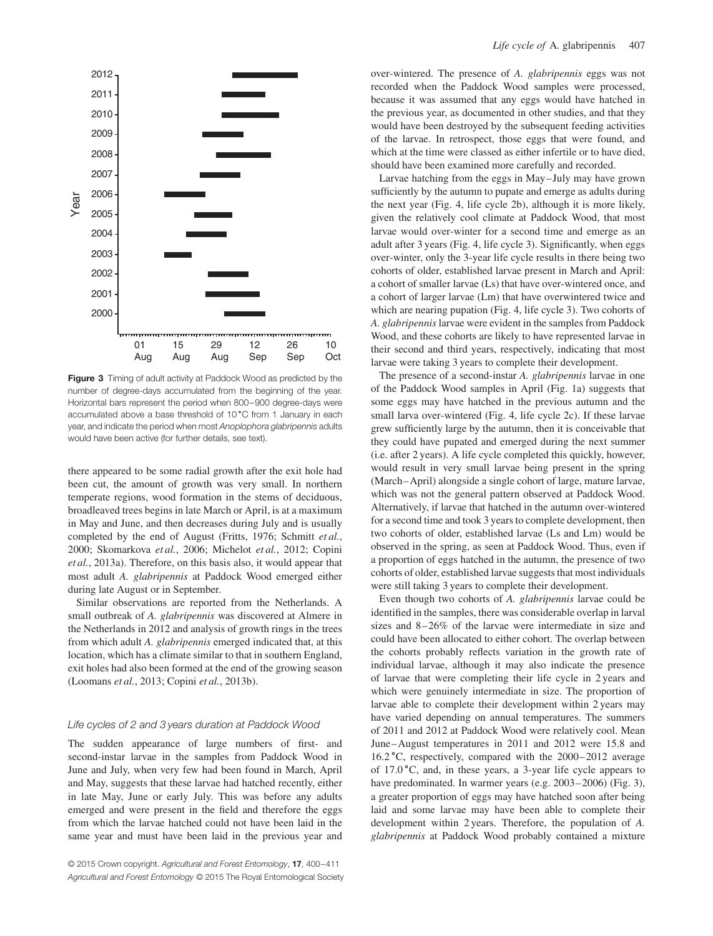

**Figure 3** Timing of adult activity at Paddock Wood as predicted by the number of degree-days accumulated from the beginning of the year. Horizontal bars represent the period when 800–900 degree-days were accumulated above a base threshold of 10 ∘C from 1 January in each year, and indicate the period when most Anoplophora glabripennis adults would have been active (for further details, see text).

there appeared to be some radial growth after the exit hole had been cut, the amount of growth was very small. In northern temperate regions, wood formation in the stems of deciduous, broadleaved trees begins in late March or April, is at a maximum in May and June, and then decreases during July and is usually completed by the end of August (Fritts, 1976; Schmitt *et al.*, 2000; Skomarkova *et al.*, 2006; Michelot *et al.*, 2012; Copini *et al.*, 2013a). Therefore, on this basis also, it would appear that most adult *A. glabripennis* at Paddock Wood emerged either during late August or in September.

Similar observations are reported from the Netherlands. A small outbreak of *A. glabripennis* was discovered at Almere in the Netherlands in 2012 and analysis of growth rings in the trees from which adult *A. glabripennis* emerged indicated that, at this location, which has a climate similar to that in southern England, exit holes had also been formed at the end of the growing season (Loomans *et al.*, 2013; Copini *et al.*, 2013b).

#### Life cycles of 2 and 3 years duration at Paddock Wood

The sudden appearance of large numbers of first- and second-instar larvae in the samples from Paddock Wood in June and July, when very few had been found in March, April and May, suggests that these larvae had hatched recently, either in late May, June or early July. This was before any adults emerged and were present in the field and therefore the eggs from which the larvae hatched could not have been laid in the same year and must have been laid in the previous year and over-wintered. The presence of *A. glabripennis* eggs was not recorded when the Paddock Wood samples were processed, because it was assumed that any eggs would have hatched in the previous year, as documented in other studies, and that they would have been destroyed by the subsequent feeding activities of the larvae. In retrospect, those eggs that were found, and which at the time were classed as either infertile or to have died, should have been examined more carefully and recorded.

Larvae hatching from the eggs in May–July may have grown sufficiently by the autumn to pupate and emerge as adults during the next year (Fig. 4, life cycle 2b), although it is more likely, given the relatively cool climate at Paddock Wood, that most larvae would over-winter for a second time and emerge as an adult after 3 years (Fig. 4, life cycle 3). Significantly, when eggs over-winter, only the 3-year life cycle results in there being two cohorts of older, established larvae present in March and April: a cohort of smaller larvae (Ls) that have over-wintered once, and a cohort of larger larvae (Lm) that have overwintered twice and which are nearing pupation (Fig. 4, life cycle 3). Two cohorts of *A. glabripennis* larvae were evident in the samples from Paddock Wood, and these cohorts are likely to have represented larvae in their second and third years, respectively, indicating that most larvae were taking 3 years to complete their development.

The presence of a second-instar *A. glabripennis* larvae in one of the Paddock Wood samples in April (Fig. 1a) suggests that some eggs may have hatched in the previous autumn and the small larva over-wintered (Fig. 4, life cycle 2c). If these larvae grew sufficiently large by the autumn, then it is conceivable that they could have pupated and emerged during the next summer (i.e. after 2 years). A life cycle completed this quickly, however, would result in very small larvae being present in the spring (March–April) alongside a single cohort of large, mature larvae, which was not the general pattern observed at Paddock Wood. Alternatively, if larvae that hatched in the autumn over-wintered for a second time and took 3 years to complete development, then two cohorts of older, established larvae (Ls and Lm) would be observed in the spring, as seen at Paddock Wood. Thus, even if a proportion of eggs hatched in the autumn, the presence of two cohorts of older, established larvae suggests that most individuals were still taking 3 years to complete their development.

Even though two cohorts of *A. glabripennis* larvae could be identified in the samples, there was considerable overlap in larval sizes and 8–26% of the larvae were intermediate in size and could have been allocated to either cohort. The overlap between the cohorts probably reflects variation in the growth rate of individual larvae, although it may also indicate the presence of larvae that were completing their life cycle in 2 years and which were genuinely intermediate in size. The proportion of larvae able to complete their development within 2 years may have varied depending on annual temperatures. The summers of 2011 and 2012 at Paddock Wood were relatively cool. Mean June–August temperatures in 2011 and 2012 were 15.8 and 16.2 ∘C, respectively, compared with the 2000–2012 average of 17.0 ∘C, and, in these years, a 3-year life cycle appears to have predominated. In warmer years (e.g. 2003–2006) (Fig. 3), a greater proportion of eggs may have hatched soon after being laid and some larvae may have been able to complete their development within 2 years. Therefore, the population of *A. glabripennis* at Paddock Wood probably contained a mixture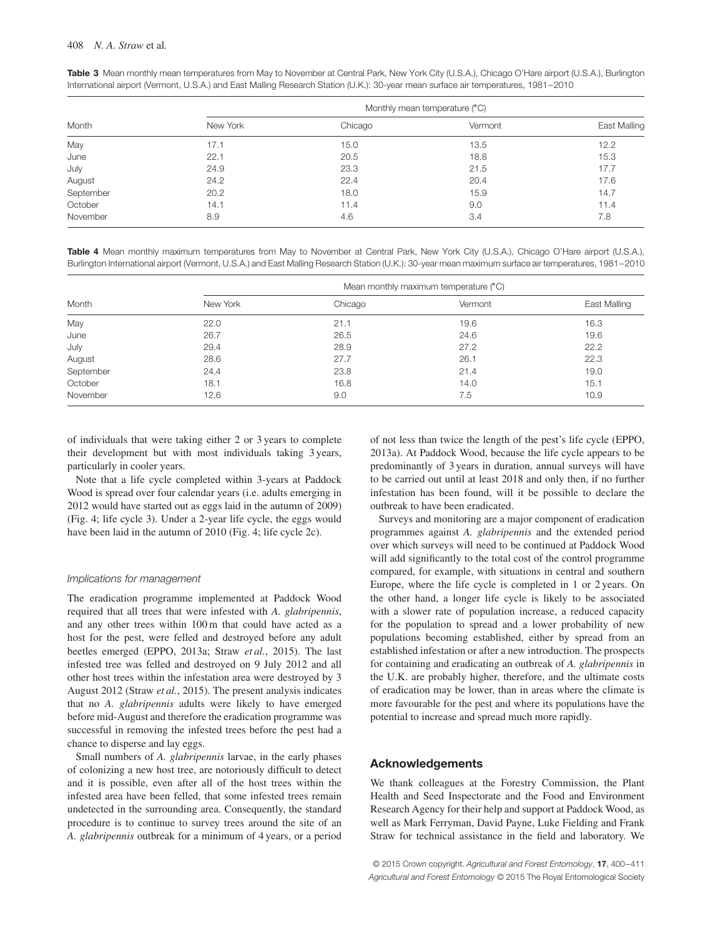| Table 3 Mean monthly mean temperatures from May to November at Central Park, New York City (U.S.A.), Chicago O'Hare airport (U.S.A.), Burlington |
|--------------------------------------------------------------------------------------------------------------------------------------------------|
| International airport (Vermont, U.S.A.) and East Malling Research Station (U.K.): 30-year mean surface air temperatures, 1981-2010               |

|           | Monthly mean temperature (°C) |         |         |              |  |  |
|-----------|-------------------------------|---------|---------|--------------|--|--|
| Month     | New York                      | Chicago | Vermont | East Malling |  |  |
| May       | 17.1                          | 15.0    | 13.5    | 12.2         |  |  |
| June      | 22.1                          | 20.5    | 18.8    | 15.3         |  |  |
| July      | 24.9                          | 23.3    | 21.5    | 17.7         |  |  |
| August    | 24.2                          | 22.4    | 20.4    | 17.6         |  |  |
| September | 20.2                          | 18.0    | 15.9    | 14.7         |  |  |
| October   | 14.1                          | 11.4    | 9.0     | 11.4         |  |  |
| November  | 8.9                           | 4.6     | 3.4     | 7.8          |  |  |

**Table 4** Mean monthly maximum temperatures from May to November at Central Park, New York City (U.S.A.), Chicago O'Hare airport (U.S.A.), Burlington International airport (Vermont, U.S.A.) and East Malling Research Station (U.K.): 30-year mean maximum surface air temperatures, 1981–2010

|           | Mean monthly maximum temperature (°C) |         |         |              |  |  |
|-----------|---------------------------------------|---------|---------|--------------|--|--|
| Month     | New York                              | Chicago | Vermont | East Malling |  |  |
| May       | 22.0                                  | 21.1    | 19.6    | 16.3         |  |  |
| June      | 26.7                                  | 26.5    | 24.6    | 19.6         |  |  |
| July      | 29.4                                  | 28.9    | 27.2    | 22.2         |  |  |
| August    | 28.6                                  | 27.7    | 26.1    | 22.3         |  |  |
| September | 24.4                                  | 23.8    | 21.4    | 19.0         |  |  |
| October   | 18.1                                  | 16.8    | 14.0    | 15.1         |  |  |
| November  | 12.6                                  | 9.0     | 7.5     | 10.9         |  |  |

of individuals that were taking either 2 or 3 years to complete their development but with most individuals taking 3 years, particularly in cooler years.

Note that a life cycle completed within 3-years at Paddock Wood is spread over four calendar years (i.e. adults emerging in 2012 would have started out as eggs laid in the autumn of 2009) (Fig. 4; life cycle 3). Under a 2-year life cycle, the eggs would have been laid in the autumn of 2010 (Fig. 4; life cycle 2c).

#### Implications for management

The eradication programme implemented at Paddock Wood required that all trees that were infested with *A. glabripennis*, and any other trees within 100 m that could have acted as a host for the pest, were felled and destroyed before any adult beetles emerged (EPPO, 2013a; Straw *et al.*, 2015). The last infested tree was felled and destroyed on 9 July 2012 and all other host trees within the infestation area were destroyed by 3 August 2012 (Straw *et al.*, 2015). The present analysis indicates that no *A. glabripennis* adults were likely to have emerged before mid-August and therefore the eradication programme was successful in removing the infested trees before the pest had a chance to disperse and lay eggs.

Small numbers of *A. glabripennis* larvae, in the early phases of colonizing a new host tree, are notoriously difficult to detect and it is possible, even after all of the host trees within the infested area have been felled, that some infested trees remain undetected in the surrounding area. Consequently, the standard procedure is to continue to survey trees around the site of an *A. glabripennis* outbreak for a minimum of 4 years, or a period of not less than twice the length of the pest's life cycle (EPPO, 2013a). At Paddock Wood, because the life cycle appears to be predominantly of 3 years in duration, annual surveys will have to be carried out until at least 2018 and only then, if no further infestation has been found, will it be possible to declare the outbreak to have been eradicated.

Surveys and monitoring are a major component of eradication programmes against *A. glabripennis* and the extended period over which surveys will need to be continued at Paddock Wood will add significantly to the total cost of the control programme compared, for example, with situations in central and southern Europe, where the life cycle is completed in 1 or 2 years. On the other hand, a longer life cycle is likely to be associated with a slower rate of population increase, a reduced capacity for the population to spread and a lower probability of new populations becoming established, either by spread from an established infestation or after a new introduction. The prospects for containing and eradicating an outbreak of *A. glabripennis* in the U.K. are probably higher, therefore, and the ultimate costs of eradication may be lower, than in areas where the climate is more favourable for the pest and where its populations have the potential to increase and spread much more rapidly.

## **Acknowledgements**

We thank colleagues at the Forestry Commission, the Plant Health and Seed Inspectorate and the Food and Environment Research Agency for their help and support at Paddock Wood, as well as Mark Ferryman, David Payne, Luke Fielding and Frank Straw for technical assistance in the field and laboratory. We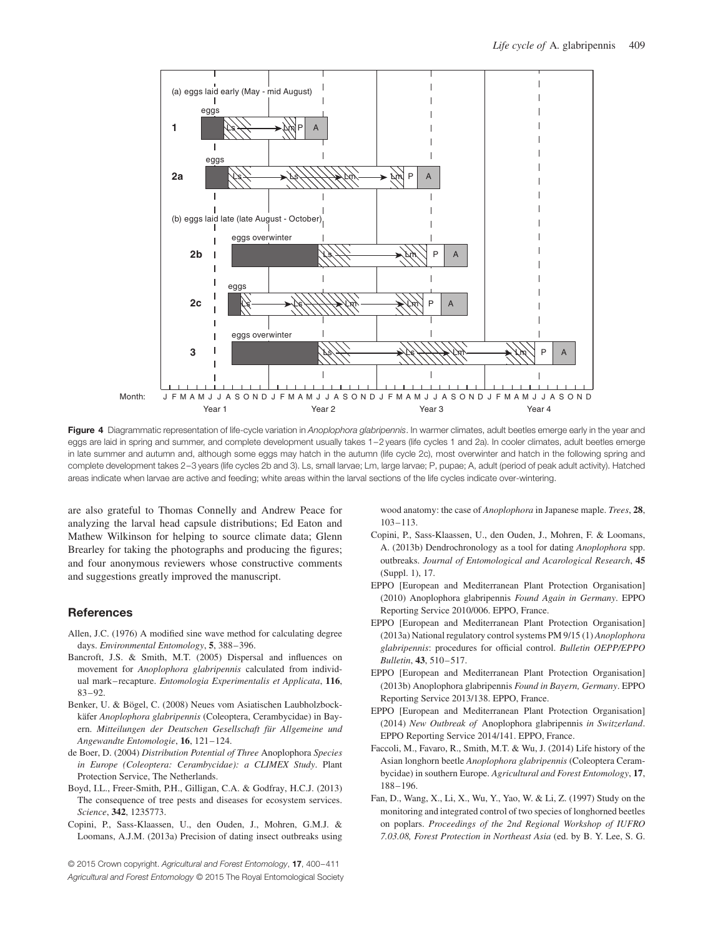

Figure 4 Diagrammatic representation of life-cycle variation in Anoplophora glabripennis. In warmer climates, adult beetles emerge early in the year and eggs are laid in spring and summer, and complete development usually takes 1-2 years (life cycles 1 and 2a). In cooler climates, adult beetles emerge in late summer and autumn and, although some eggs may hatch in the autumn (life cycle 2c), most overwinter and hatch in the following spring and complete development takes 2–3 years (life cycles 2b and 3). Ls, small larvae; Lm, large larvae; P, pupae; A, adult (period of peak adult activity). Hatched areas indicate when larvae are active and feeding; white areas within the larval sections of the life cycles indicate over-wintering.

are also grateful to Thomas Connelly and Andrew Peace for analyzing the larval head capsule distributions; Ed Eaton and Mathew Wilkinson for helping to source climate data; Glenn Brearley for taking the photographs and producing the figures; and four anonymous reviewers whose constructive comments and suggestions greatly improved the manuscript.

## **References**

- Allen, J.C. (1976) A modified sine wave method for calculating degree days. *Environmental Entomology*, **5**, 388–396.
- Bancroft, J.S. & Smith, M.T. (2005) Dispersal and influences on movement for *Anoplophora glabripennis* calculated from individual mark– recapture. *Entomologia Experimentalis et Applicata*, **116**, 83–92.
- Benker, U. & Bögel, C. (2008) Neues vom Asiatischen Laubholzbockkäfer *Anoplophora glabripennis* (Coleoptera, Cerambycidae) in Bayern. *Mitteilungen der Deutschen Gesellschaft für Allgemeine und Angewandte Entomologie*, **16**, 121–124.
- de Boer, D. (2004) *Distribution Potential of Three* Anoplophora *Species in Europe (Coleoptera: Cerambycidae): a CLIMEX Study*. Plant Protection Service, The Netherlands.
- Boyd, I.L., Freer-Smith, P.H., Gilligan, C.A. & Godfray, H.C.J. (2013) The consequence of tree pests and diseases for ecosystem services. *Science*, **342**, 1235773.
- Copini, P., Sass-Klaassen, U., den Ouden, J., Mohren, G.M.J. & Loomans, A.J.M. (2013a) Precision of dating insect outbreaks using

© 2015 Crown copyright. Agricultural and Forest Entomology, **17**, 400–411 Agricultural and Forest Entomology © 2015 The Royal Entomological Society wood anatomy: the case of *Anoplophora* in Japanese maple. *Trees*, **28**, 103–113.

- Copini, P., Sass-Klaassen, U., den Ouden, J., Mohren, F. & Loomans, A. (2013b) Dendrochronology as a tool for dating *Anoplophora* spp. outbreaks. *Journal of Entomological and Acarological Research*, **45** (Suppl. 1), 17.
- EPPO [European and Mediterranean Plant Protection Organisation] (2010) Anoplophora glabripennis *Found Again in Germany*. EPPO Reporting Service 2010/006. EPPO, France.
- EPPO [European and Mediterranean Plant Protection Organisation] (2013a) National regulatory control systems PM 9/15 (1) *Anoplophora glabripennis*: procedures for official control. *Bulletin OEPP/EPPO Bulletin*, **43**, 510–517.
- EPPO [European and Mediterranean Plant Protection Organisation] (2013b) Anoplophora glabripennis *Found in Bayern, Germany*. EPPO Reporting Service 2013/138. EPPO, France.
- EPPO [European and Mediterranean Plant Protection Organisation] (2014) *New Outbreak of* Anoplophora glabripennis *in Switzerland*. EPPO Reporting Service 2014/141. EPPO, France.
- Faccoli, M., Favaro, R., Smith, M.T. & Wu, J. (2014) Life history of the Asian longhorn beetle *Anoplophora glabripennis* (Coleoptera Cerambycidae) in southern Europe. *Agricultural and Forest Entomology*, **17**, 188–196.
- Fan, D., Wang, X., Li, X., Wu, Y., Yao, W. & Li, Z. (1997) Study on the monitoring and integrated control of two species of longhorned beetles on poplars. *Proceedings of the 2nd Regional Workshop of IUFRO 7.03.08, Forest Protection in Northeast Asia* (ed. by B. Y. Lee, S. G.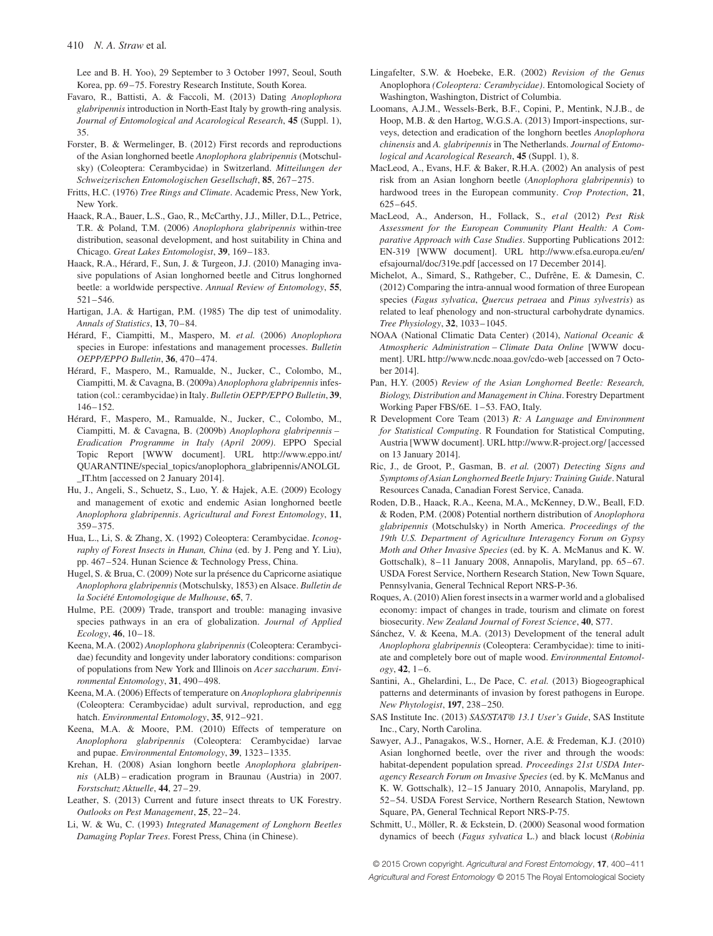Lee and B. H. Yoo), 29 September to 3 October 1997, Seoul, South Korea, pp. 69–75. Forestry Research Institute, South Korea.

- Favaro, R., Battisti, A. & Faccoli, M. (2013) Dating *Anoplophora glabripennis* introduction in North-East Italy by growth-ring analysis. *Journal of Entomological and Acarological Research*, **45** (Suppl. 1), 35.
- Forster, B. & Wermelinger, B. (2012) First records and reproductions of the Asian longhorned beetle *Anoplophora glabripennis* (Motschulsky) (Coleoptera: Cerambycidae) in Switzerland. *Mitteilungen der Schweizerischen Entomologischen Gesellschaft*, **85**, 267–275.
- Fritts, H.C. (1976) *Tree Rings and Climate*. Academic Press, New York, New York.
- Haack, R.A., Bauer, L.S., Gao, R., McCarthy, J.J., Miller, D.L., Petrice, T.R. & Poland, T.M. (2006) *Anoplophora glabripennis* within-tree distribution, seasonal development, and host suitability in China and Chicago. *Great Lakes Entomologist*, **39**, 169–183.
- Haack, R.A., Hérard, F., Sun, J. & Turgeon, J.J. (2010) Managing invasive populations of Asian longhorned beetle and Citrus longhorned beetle: a worldwide perspective. *Annual Review of Entomology*, **55**, 521–546.
- Hartigan, J.A. & Hartigan, P.M. (1985) The dip test of unimodality. *Annals of Statistics*, **13**, 70–84.
- Hérard, F., Ciampitti, M., Maspero, M. *et al.* (2006) *Anoplophora* species in Europe: infestations and management processes. *Bulletin OEPP/EPPO Bulletin*, **36**, 470–474.
- Hérard, F., Maspero, M., Ramualde, N., Jucker, C., Colombo, M., Ciampitti, M. & Cavagna, B. (2009a) *Anoplophora glabripennis*infestation (col.: cerambycidae) in Italy. *Bulletin OEPP/EPPO Bulletin*, **39**, 146–152.
- Hérard, F., Maspero, M., Ramualde, N., Jucker, C., Colombo, M., Ciampitti, M. & Cavagna, B. (2009b) *Anoplophora glabripennis – Eradication Programme in Italy (April 2009)*. EPPO Special Topic Report [WWW document]. URL http://www.eppo.int/ QUARANTINE/special\_topics/anoplophora\_glabripennis/ANOLGL \_IT.htm [accessed on 2 January 2014].
- Hu, J., Angeli, S., Schuetz, S., Luo, Y. & Hajek, A.E. (2009) Ecology and management of exotic and endemic Asian longhorned beetle *Anoplophora glabripennis*. *Agricultural and Forest Entomology*, **11**, 359–375.
- Hua, L., Li, S. & Zhang, X. (1992) Coleoptera: Cerambycidae. *Iconography of Forest Insects in Hunan, China* (ed. by J. Peng and Y. Liu), pp. 467–524. Hunan Science & Technology Press, China.
- Hugel, S. & Brua, C. (2009) Note sur la présence du Capricorne asiatique *Anoplophora glabripennis* (Motschulsky, 1853) en Alsace. *Bulletin de la Société Entomologique de Mulhouse*, **65**, 7.
- Hulme, P.E. (2009) Trade, transport and trouble: managing invasive species pathways in an era of globalization. *Journal of Applied Ecology*, **46**, 10–18.
- Keena, M.A. (2002) *Anoplophora glabripennis*(Coleoptera: Cerambycidae) fecundity and longevity under laboratory conditions: comparison of populations from New York and Illinois on *Acer saccharum*. *Environmental Entomology*, **31**, 490–498.
- Keena, M.A. (2006) Effects of temperature on *Anoplophora glabripennis* (Coleoptera: Cerambycidae) adult survival, reproduction, and egg hatch. *Environmental Entomology*, **35**, 912–921.
- Keena, M.A. & Moore, P.M. (2010) Effects of temperature on *Anoplophora glabripennis* (Coleoptera: Cerambycidae) larvae and pupae. *Environmental Entomology*, **39**, 1323–1335.
- Krehan, H. (2008) Asian longhorn beetle *Anoplophora glabripennis* (ALB) – eradication program in Braunau (Austria) in 2007. *Forstschutz Aktuelle*, **44**, 27–29.
- Leather, S. (2013) Current and future insect threats to UK Forestry. *Outlooks on Pest Management*, **25**, 22–24.
- Li, W. & Wu, C. (1993) *Integrated Management of Longhorn Beetles Damaging Poplar Trees*. Forest Press, China (in Chinese).
- Lingafelter, S.W. & Hoebeke, E.R. (2002) *Revision of the Genus* Anoplophora *(Coleoptera: Cerambycidae)*. Entomological Society of Washington, Washington, District of Columbia.
- Loomans, A.J.M., Wessels-Berk, B.F., Copini, P., Mentink, N.J.B., de Hoop, M.B. & den Hartog, W.G.S.A. (2013) Import-inspections, surveys, detection and eradication of the longhorn beetles *Anoplophora chinensis* and *A. glabripennis* in The Netherlands. *Journal of Entomological and Acarological Research*, **45** (Suppl. 1), 8.
- MacLeod, A., Evans, H.F. & Baker, R.H.A. (2002) An analysis of pest risk from an Asian longhorn beetle (*Anoplophora glabripennis*) to hardwood trees in the European community. *Crop Protection*, **21**, 625–645.
- MacLeod, A., Anderson, H., Follack, S., *et al* (2012) *Pest Risk Assessment for the European Community Plant Health: A Comparative Approach with Case Studies*. Supporting Publications 2012: EN-319 [WWW document]. URL http://www.efsa.europa.eu/en/ efsajournal/doc/319e.pdf [accessed on 17 December 2014].
- Michelot, A., Simard, S., Rathgeber, C., Dufrêne, E. & Damesin, C. (2012) Comparing the intra-annual wood formation of three European species (*Fagus sylvatica*, *Quercus petraea* and *Pinus sylvestris*) as related to leaf phenology and non-structural carbohydrate dynamics. *Tree Physiology*, **32**, 1033–1045.
- NOAA (National Climatic Data Center) (2014), *National Oceanic & Atmospheric Administration – Climate Data Online* [WWW document]. URL http://www.ncdc.noaa.gov/cdo-web [accessed on 7 October 2014].
- Pan, H.Y. (2005) *Review of the Asian Longhorned Beetle: Research, Biology, Distribution and Management in China*. Forestry Department Working Paper FBS/6E. 1–53. FAO, Italy.
- R Development Core Team (2013) *R: A Language and Environment for Statistical Computing*. R Foundation for Statistical Computing, Austria [WWW document]. URL http://www.R-project.org/ [accessed on 13 January 2014].
- Ric, J., de Groot, P., Gasman, B. *et al.* (2007) *Detecting Signs and Symptoms of Asian Longhorned Beetle Injury: Training Guide*. Natural Resources Canada, Canadian Forest Service, Canada.
- Roden, D.B., Haack, R.A., Keena, M.A., McKenney, D.W., Beall, F.D. & Roden, P.M. (2008) Potential northern distribution of *Anoplophora glabripennis* (Motschulsky) in North America. *Proceedings of the 19th U.S. Department of Agriculture Interagency Forum on Gypsy Moth and Other Invasive Species* (ed. by K. A. McManus and K. W. Gottschalk), 8–11 January 2008, Annapolis, Maryland, pp. 65–67. USDA Forest Service, Northern Research Station, New Town Square, Pennsylvania, General Technical Report NRS-P-36.
- Roques, A. (2010) Alien forest insects in a warmer world and a globalised economy: impact of changes in trade, tourism and climate on forest biosecurity. *New Zealand Journal of Forest Science*, **40**, S77.
- Sánchez, V. & Keena, M.A. (2013) Development of the teneral adult *Anoplophora glabripennis* (Coleoptera: Cerambycidae): time to initiate and completely bore out of maple wood. *Environmental Entomology*, **42**, 1–6.
- Santini, A., Ghelardini, L., De Pace, C. *et al.* (2013) Biogeographical patterns and determinants of invasion by forest pathogens in Europe. *New Phytologist*, **197**, 238–250.
- SAS Institute Inc. (2013) *SAS/STAT® 13.1 User's Guide*, SAS Institute Inc., Cary, North Carolina.
- Sawyer, A.J., Panagakos, W.S., Horner, A.E. & Fredeman, K.J. (2010) Asian longhorned beetle, over the river and through the woods: habitat-dependent population spread. *Proceedings 21st USDA Interagency Research Forum on Invasive Species* (ed. by K. McManus and K. W. Gottschalk), 12–15 January 2010, Annapolis, Maryland, pp. 52–54. USDA Forest Service, Northern Research Station, Newtown Square, PA, General Technical Report NRS-P-75.
- Schmitt, U., Möller, R. & Eckstein, D. (2000) Seasonal wood formation dynamics of beech (*Fagus sylvatica* L.) and black locust (*Robinia*